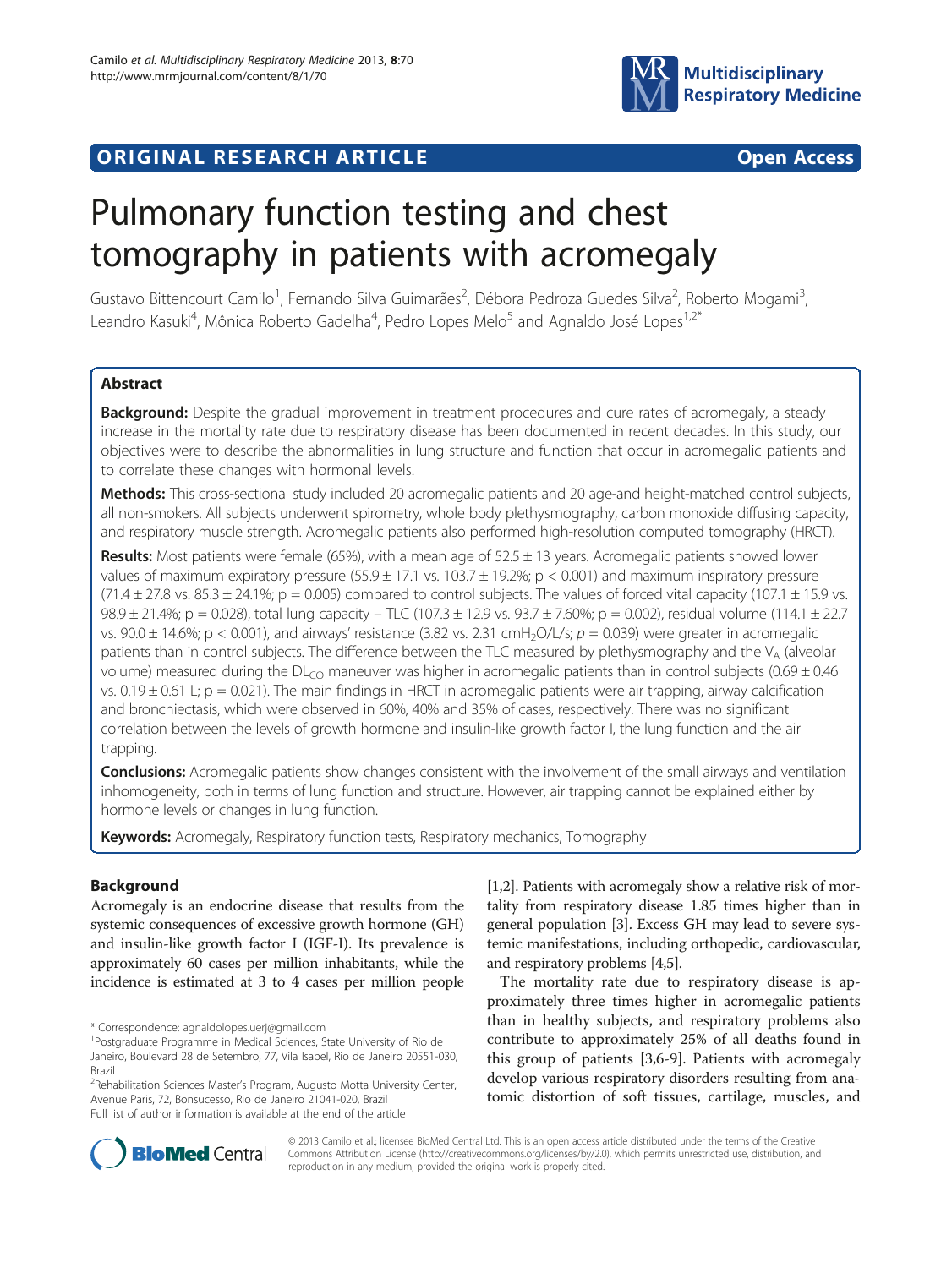

## **ORIGINAL RESEARCH ARTICLE CONSUMING ACCESS**

# Pulmonary function testing and chest tomography in patients with acromegaly

Gustavo Bittencourt Camilo<sup>1</sup>, Fernando Silva Guimarães<sup>2</sup>, Débora Pedroza Guedes Silva<sup>2</sup>, Roberto Mogami<sup>3</sup> , Leandro Kasuki<sup>4</sup>, Mônica Roberto Gadelha<sup>4</sup>, Pedro Lopes Melo<sup>5</sup> and Agnaldo José Lopes<sup>1,2\*</sup>

## **Abstract**

Background: Despite the gradual improvement in treatment procedures and cure rates of acromegaly, a steady increase in the mortality rate due to respiratory disease has been documented in recent decades. In this study, our objectives were to describe the abnormalities in lung structure and function that occur in acromegalic patients and to correlate these changes with hormonal levels.

Methods: This cross-sectional study included 20 acromegalic patients and 20 age-and height-matched control subjects, all non-smokers. All subjects underwent spirometry, whole body plethysmography, carbon monoxide diffusing capacity, and respiratory muscle strength. Acromegalic patients also performed high-resolution computed tomography (HRCT).

Results: Most patients were female (65%), with a mean age of  $52.5 \pm 13$  years. Acromegalic patients showed lower values of maximum expiratory pressure (55.9  $\pm$  17.1 vs. 103.7  $\pm$  19.2%; p < 0.001) and maximum inspiratory pressure  $(71.4 \pm 27.8 \text{ vs. } 85.3 \pm 24.1\%; p = 0.005)$  compared to control subjects. The values of forced vital capacity (107.1  $\pm$  15.9 vs. 98.9 ± 21.4%; p = 0.028), total lung capacity – TLC (107.3 ± 12.9 vs. 93.7 ± 7.60%; p = 0.002), residual volume (114.1 ± 22.7 vs. 90.0  $\pm$  14.6%; p < 0.001), and airways' resistance (3.82 vs. 2.31 cmH<sub>2</sub>O/L/s; p = 0.039) were greater in acromegalic patients than in control subjects. The difference between the TLC measured by plethysmography and the V<sub>A</sub> (alveolar volume) measured during the  $DL<sub>CO</sub>$  maneuver was higher in acromegalic patients than in control subjects (0.69  $\pm$  0.46 vs.  $0.19 \pm 0.61$  L; p = 0.021). The main findings in HRCT in acromegalic patients were air trapping, airway calcification and bronchiectasis, which were observed in 60%, 40% and 35% of cases, respectively. There was no significant correlation between the levels of growth hormone and insulin-like growth factor I, the lung function and the air trapping.

Conclusions: Acromegalic patients show changes consistent with the involvement of the small airways and ventilation inhomogeneity, both in terms of lung function and structure. However, air trapping cannot be explained either by hormone levels or changes in lung function.

Keywords: Acromegaly, Respiratory function tests, Respiratory mechanics, Tomography

### Background

Acromegaly is an endocrine disease that results from the systemic consequences of excessive growth hormone (GH) and insulin-like growth factor I (IGF-I). Its prevalence is approximately 60 cases per million inhabitants, while the incidence is estimated at 3 to 4 cases per million people

<sup>2</sup> Rehabilitation Sciences Master's Program, Augusto Motta University Center, Avenue Paris, 72, Bonsucesso, Rio de Janeiro 21041-020, Brazil Full list of author information is available at the end of the article

[[1,2](#page-6-0)]. Patients with acromegaly show a relative risk of mortality from respiratory disease 1.85 times higher than in general population [[3](#page-6-0)]. Excess GH may lead to severe systemic manifestations, including orthopedic, cardiovascular, and respiratory problems [\[4,5\]](#page-6-0).

The mortality rate due to respiratory disease is approximately three times higher in acromegalic patients than in healthy subjects, and respiratory problems also contribute to approximately 25% of all deaths found in this group of patients [[3,6-9](#page-6-0)]. Patients with acromegaly develop various respiratory disorders resulting from anatomic distortion of soft tissues, cartilage, muscles, and



© 2013 Camilo et al.; licensee BioMed Central Ltd. This is an open access article distributed under the terms of the Creative Commons Attribution License [\(http://creativecommons.org/licenses/by/2.0\)](http://creativecommons.org/licenses/by/2.0), which permits unrestricted use, distribution, and reproduction in any medium, provided the original work is properly cited.

<sup>\*</sup> Correspondence: [agnaldolopes.uerj@gmail.com](mailto:agnaldolopes.uerj@gmail.com) <sup>1</sup>

<sup>&</sup>lt;sup>1</sup>Postgraduate Programme in Medical Sciences, State University of Rio de Janeiro, Boulevard 28 de Setembro, 77, Vila Isabel, Rio de Janeiro 20551-030, Brazil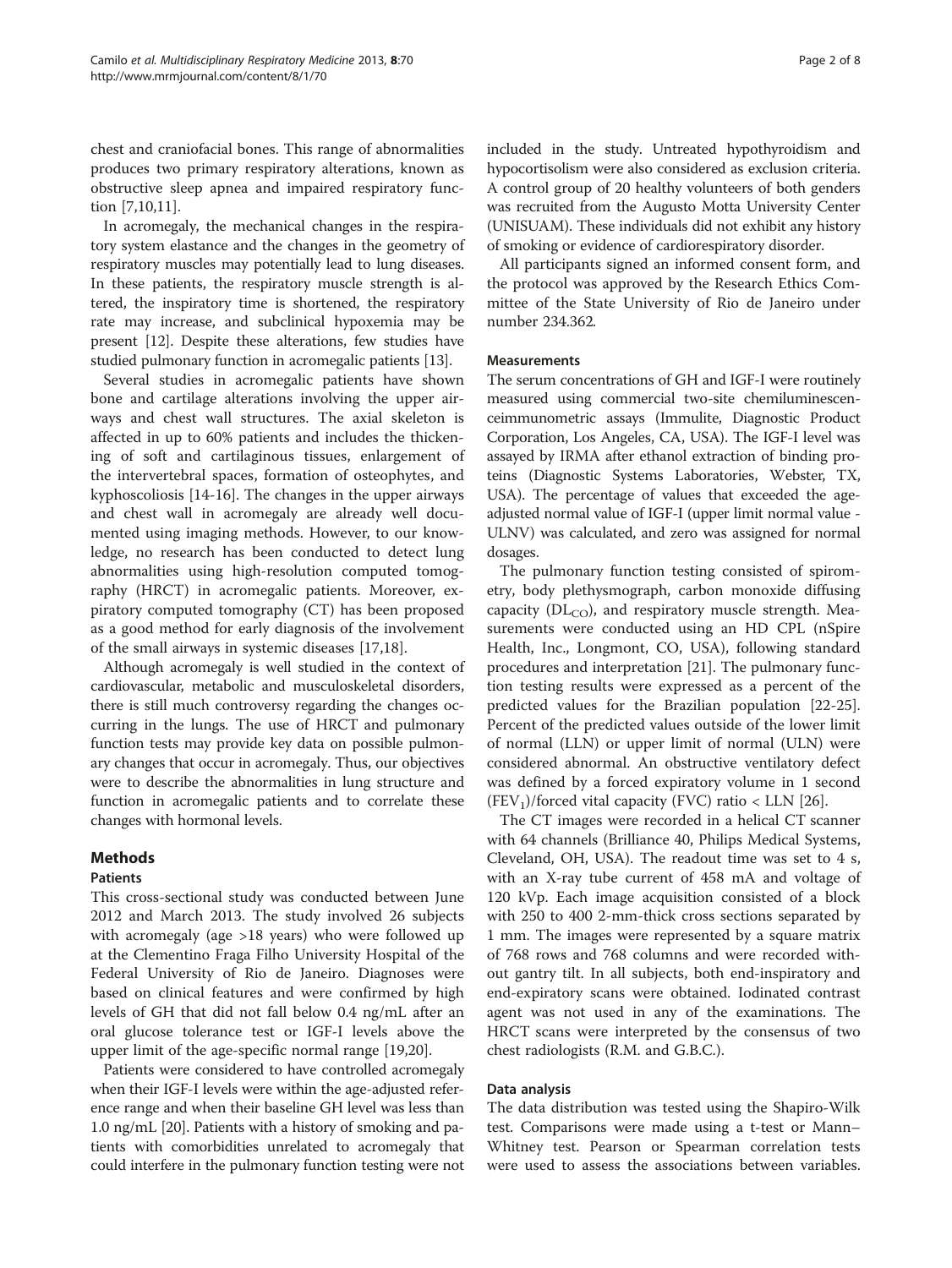chest and craniofacial bones. This range of abnormalities produces two primary respiratory alterations, known as obstructive sleep apnea and impaired respiratory function [\[7,10,11\]](#page-6-0).

In acromegaly, the mechanical changes in the respiratory system elastance and the changes in the geometry of respiratory muscles may potentially lead to lung diseases. In these patients, the respiratory muscle strength is altered, the inspiratory time is shortened, the respiratory rate may increase, and subclinical hypoxemia may be present [[12](#page-6-0)]. Despite these alterations, few studies have studied pulmonary function in acromegalic patients [\[13\]](#page-6-0).

Several studies in acromegalic patients have shown bone and cartilage alterations involving the upper airways and chest wall structures. The axial skeleton is affected in up to 60% patients and includes the thickening of soft and cartilaginous tissues, enlargement of the intervertebral spaces, formation of osteophytes, and kyphoscoliosis [\[14](#page-6-0)-[16\]](#page-6-0). The changes in the upper airways and chest wall in acromegaly are already well documented using imaging methods. However, to our knowledge, no research has been conducted to detect lung abnormalities using high-resolution computed tomography (HRCT) in acromegalic patients. Moreover, expiratory computed tomography (CT) has been proposed as a good method for early diagnosis of the involvement of the small airways in systemic diseases [[17,18\]](#page-6-0).

Although acromegaly is well studied in the context of cardiovascular, metabolic and musculoskeletal disorders, there is still much controversy regarding the changes occurring in the lungs. The use of HRCT and pulmonary function tests may provide key data on possible pulmonary changes that occur in acromegaly. Thus, our objectives were to describe the abnormalities in lung structure and function in acromegalic patients and to correlate these changes with hormonal levels.

#### Methods

#### Patients

This cross-sectional study was conducted between June 2012 and March 2013. The study involved 26 subjects with acromegaly (age >18 years) who were followed up at the Clementino Fraga Filho University Hospital of the Federal University of Rio de Janeiro. Diagnoses were based on clinical features and were confirmed by high levels of GH that did not fall below 0.4 ng/mL after an oral glucose tolerance test or IGF-I levels above the upper limit of the age-specific normal range [\[19,20](#page-6-0)].

Patients were considered to have controlled acromegaly when their IGF-I levels were within the age-adjusted reference range and when their baseline GH level was less than 1.0 ng/mL [[20](#page-6-0)]. Patients with a history of smoking and patients with comorbidities unrelated to acromegaly that could interfere in the pulmonary function testing were not included in the study. Untreated hypothyroidism and hypocortisolism were also considered as exclusion criteria. A control group of 20 healthy volunteers of both genders was recruited from the Augusto Motta University Center (UNISUAM). These individuals did not exhibit any history of smoking or evidence of cardiorespiratory disorder.

All participants signed an informed consent form, and the protocol was approved by the Research Ethics Committee of the State University of Rio de Janeiro under number 234.362.

#### Measurements

The serum concentrations of GH and IGF-I were routinely measured using commercial two-site chemiluminescenceimmunometric assays (Immulite, Diagnostic Product Corporation, Los Angeles, CA, USA). The IGF-I level was assayed by IRMA after ethanol extraction of binding proteins (Diagnostic Systems Laboratories, Webster, TX, USA). The percentage of values that exceeded the ageadjusted normal value of IGF-I (upper limit normal value - ULNV) was calculated, and zero was assigned for normal dosages.

The pulmonary function testing consisted of spirometry, body plethysmograph, carbon monoxide diffusing capacity ( $DL<sub>CO</sub>$ ), and respiratory muscle strength. Measurements were conducted using an HD CPL (nSpire Health, Inc., Longmont, CO, USA), following standard procedures and interpretation [\[21\]](#page-6-0). The pulmonary function testing results were expressed as a percent of the predicted values for the Brazilian population [\[22-25](#page-6-0)]. Percent of the predicted values outside of the lower limit of normal (LLN) or upper limit of normal (ULN) were considered abnormal. An obstructive ventilatory defect was defined by a forced expiratory volume in 1 second  $(FEV_1)/$  forced vital capacity (FVC) ratio < LLN [\[26](#page-6-0)].

The CT images were recorded in a helical CT scanner with 64 channels (Brilliance 40, Philips Medical Systems, Cleveland, OH, USA). The readout time was set to 4 s, with an X-ray tube current of 458 mA and voltage of 120 kVp. Each image acquisition consisted of a block with 250 to 400 2-mm-thick cross sections separated by 1 mm. The images were represented by a square matrix of 768 rows and 768 columns and were recorded without gantry tilt. In all subjects, both end-inspiratory and end-expiratory scans were obtained. Iodinated contrast agent was not used in any of the examinations. The HRCT scans were interpreted by the consensus of two chest radiologists (R.M. and G.B.C.).

#### Data analysis

The data distribution was tested using the Shapiro-Wilk test. Comparisons were made using a t-test or Mann– Whitney test. Pearson or Spearman correlation tests were used to assess the associations between variables.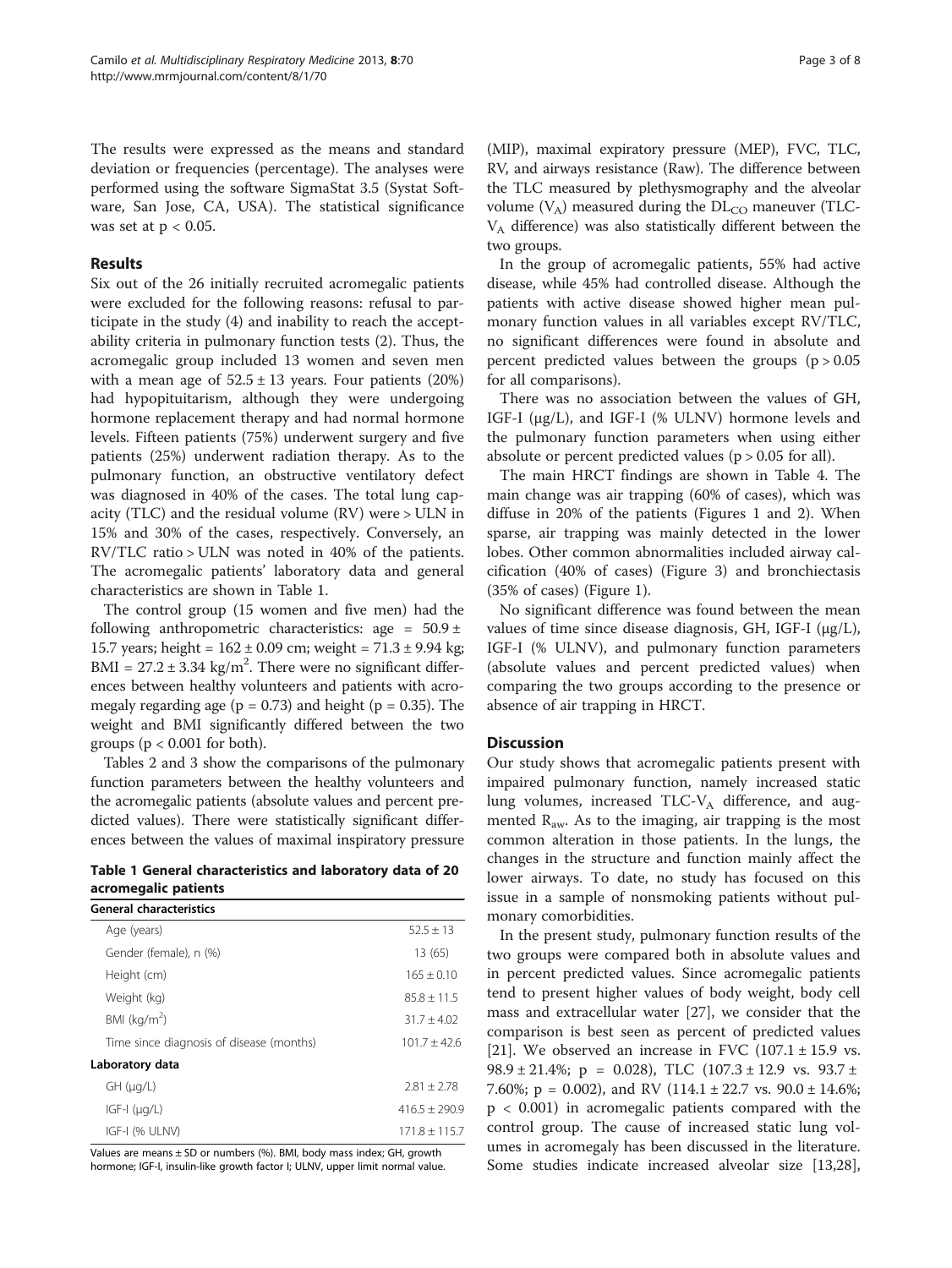The results were expressed as the means and standard deviation or frequencies (percentage). The analyses were performed using the software SigmaStat 3.5 (Systat Software, San Jose, CA, USA). The statistical significance was set at  $p < 0.05$ .

#### Results

Six out of the 26 initially recruited acromegalic patients were excluded for the following reasons: refusal to participate in the study (4) and inability to reach the acceptability criteria in pulmonary function tests (2). Thus, the acromegalic group included 13 women and seven men with a mean age of  $52.5 \pm 13$  years. Four patients (20%) had hypopituitarism, although they were undergoing hormone replacement therapy and had normal hormone levels. Fifteen patients (75%) underwent surgery and five patients (25%) underwent radiation therapy. As to the pulmonary function, an obstructive ventilatory defect was diagnosed in 40% of the cases. The total lung capacity (TLC) and the residual volume (RV) were > ULN in 15% and 30% of the cases, respectively. Conversely, an RV/TLC ratio > ULN was noted in 40% of the patients. The acromegalic patients' laboratory data and general characteristics are shown in Table 1.

The control group (15 women and five men) had the following anthropometric characteristics: age =  $50.9 \pm$ 15.7 years; height =  $162 \pm 0.09$  cm; weight =  $71.3 \pm 9.94$  kg;  $BMI = 27.2 \pm 3.34$  kg/m<sup>2</sup>. There were no significant differences between healthy volunteers and patients with acromegaly regarding age ( $p = 0.73$ ) and height ( $p = 0.35$ ). The weight and BMI significantly differed between the two groups ( $p < 0.001$  for both).

Tables [2](#page-3-0) and [3](#page-3-0) show the comparisons of the pulmonary function parameters between the healthy volunteers and the acromegalic patients (absolute values and percent predicted values). There were statistically significant differences between the values of maximal inspiratory pressure

Table 1 General characteristics and laboratory data of 20 acromegalic patients

| <b>General characteristics</b>           |                 |
|------------------------------------------|-----------------|
| Age (years)                              | $52.5 + 13$     |
| Gender (female), n (%)                   | 13 (65)         |
| Height (cm)                              | $165 + 0.10$    |
| Weight (kg)                              | $85.8 + 11.5$   |
| BMI ( $kg/m2$ )                          | $31.7 + 4.02$   |
| Time since diagnosis of disease (months) | $101.7 + 42.6$  |
| Laboratory data                          |                 |
| $GH$ ( $\mu$ g/L)                        | $2.81 + 2.78$   |
| $IGF-I (\mu q/L)$                        | $416.5 + 290.9$ |
| IGF-I (% ULNV)                           | $171.8 + 115.7$ |

Values are means  $\pm$  SD or numbers (%). BMI, body mass index; GH, growth hormone; IGF-I, insulin-like growth factor I; ULNV, upper limit normal value.

(MIP), maximal expiratory pressure (MEP), FVC, TLC, RV, and airways resistance (Raw). The difference between the TLC measured by plethysmography and the alveolar volume  $(V_A)$  measured during the  $DL_{CO}$  maneuver (TLC- $V_A$  difference) was also statistically different between the two groups.

In the group of acromegalic patients, 55% had active disease, while 45% had controlled disease. Although the patients with active disease showed higher mean pulmonary function values in all variables except RV/TLC, no significant differences were found in absolute and percent predicted values between the groups  $(p > 0.05)$ for all comparisons).

There was no association between the values of GH, IGF-I (μg/L), and IGF-I (% ULNV) hormone levels and the pulmonary function parameters when using either absolute or percent predicted values ( $p > 0.05$  for all).

The main HRCT findings are shown in Table [4](#page-4-0). The main change was air trapping (60% of cases), which was diffuse in 20% of the patients (Figures [1](#page-4-0) and [2](#page-5-0)). When sparse, air trapping was mainly detected in the lower lobes. Other common abnormalities included airway calcification (40% of cases) (Figure [3](#page-5-0)) and bronchiectasis (35% of cases) (Figure [1](#page-4-0)).

No significant difference was found between the mean values of time since disease diagnosis, GH, IGF-I (μg/L), IGF-I (% ULNV), and pulmonary function parameters (absolute values and percent predicted values) when comparing the two groups according to the presence or absence of air trapping in HRCT.

#### **Discussion**

Our study shows that acromegalic patients present with impaired pulmonary function, namely increased static lung volumes, increased  $TLC-V_A$  difference, and augmented  $R_{aw}$ . As to the imaging, air trapping is the most common alteration in those patients. In the lungs, the changes in the structure and function mainly affect the lower airways. To date, no study has focused on this issue in a sample of nonsmoking patients without pulmonary comorbidities.

In the present study, pulmonary function results of the two groups were compared both in absolute values and in percent predicted values. Since acromegalic patients tend to present higher values of body weight, body cell mass and extracellular water [\[27](#page-6-0)], we consider that the comparison is best seen as percent of predicted values [[21\]](#page-6-0). We observed an increase in FVC  $(107.1 \pm 15.9 \text{ vs.})$ 98.9 ± 21.4%; p = 0.028), TLC (107.3 ± 12.9 vs. 93.7 ± 7.60%;  $p = 0.002$ ), and RV (114.1 ± 22.7 vs. 90.0 ± 14.6%; p < 0.001) in acromegalic patients compared with the control group. The cause of increased static lung volumes in acromegaly has been discussed in the literature. Some studies indicate increased alveolar size [\[13,28](#page-6-0)],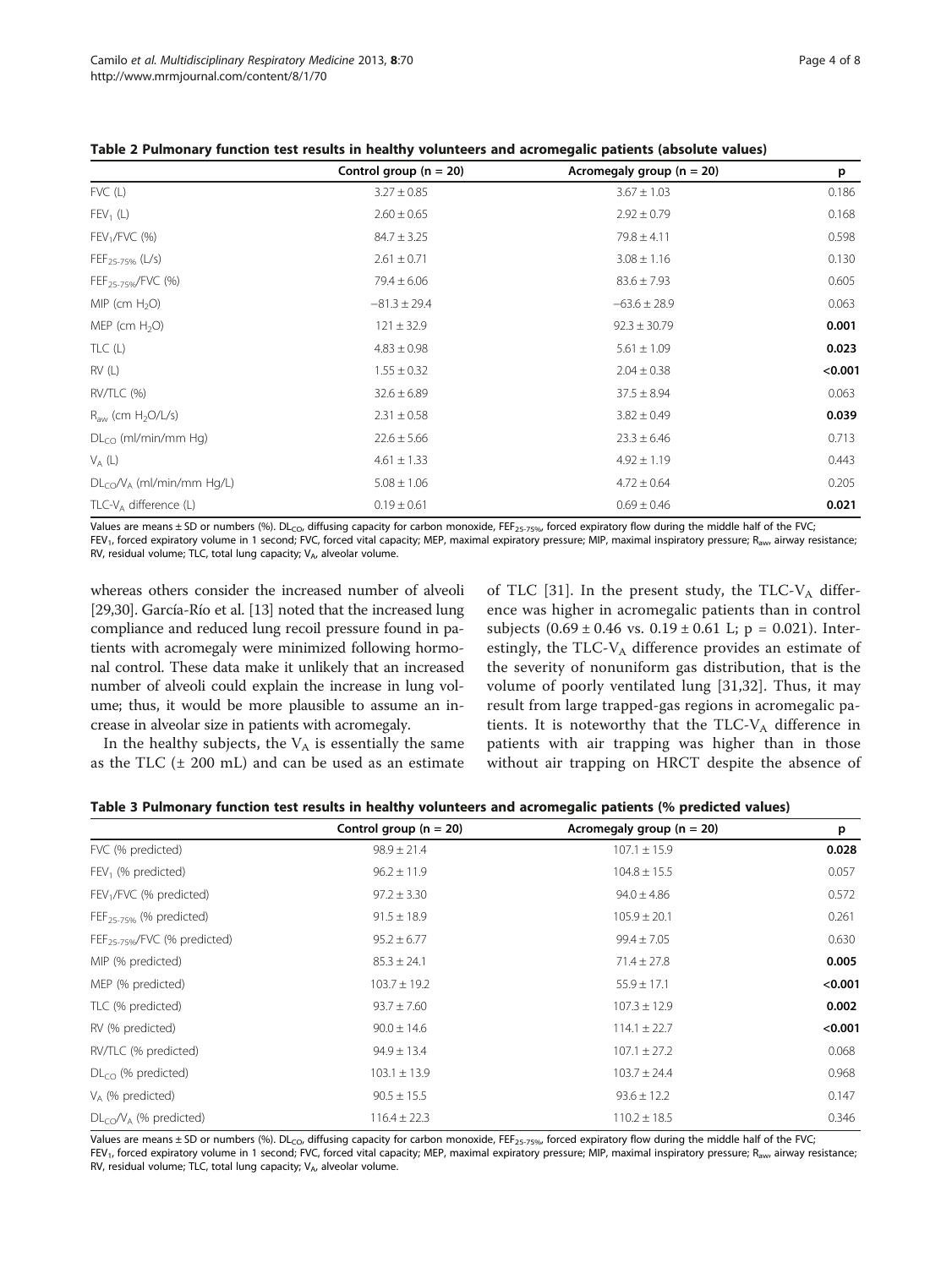<span id="page-3-0"></span>

|  | Table 2 Pulmonary function test results in healthy volunteers and acromegalic patients (absolute values) |
|--|----------------------------------------------------------------------------------------------------------|
|--|----------------------------------------------------------------------------------------------------------|

|                                | Control group ( $n = 20$ ) | Acromegaly group ( $n = 20$ ) | p       |
|--------------------------------|----------------------------|-------------------------------|---------|
| $FVC$ (L)                      | $3.27 \pm 0.85$            | $3.67 \pm 1.03$               | 0.186   |
| $FEV_1(L)$                     | $2.60 \pm 0.65$            | $2.92 \pm 0.79$               | 0.168   |
| $FEV1/FVC$ (%)                 | $84.7 \pm 3.25$            | $79.8 \pm 4.11$               | 0.598   |
| $FEF_{25-75\%}$ (L/s)          | $2.61 \pm 0.71$            | $3.08 \pm 1.16$               | 0.130   |
| FEF <sub>25-75%</sub> /FVC (%) | $79.4 \pm 6.06$            | $83.6 \pm 7.93$               | 0.605   |
| MIP (cm $H_2O$ )               | $-81.3 \pm 29.4$           | $-63.6 \pm 28.9$              | 0.063   |
| MEP (cm $H_2O$ )               | $121 \pm 32.9$             | $92.3 \pm 30.79$              | 0.001   |
| TLC(L)                         | $4.83 \pm 0.98$            | $5.61 \pm 1.09$               | 0.023   |
| RV(L)                          | $1.55 \pm 0.32$            | $2.04 \pm 0.38$               | < 0.001 |
| RV/TLC (%)                     | $32.6 \pm 6.89$            | $37.5 \pm 8.94$               | 0.063   |
| $R_{aw}$ (cm $H_2O/L/s$ )      | $2.31 \pm 0.58$            | $3.82 \pm 0.49$               | 0.039   |
| $DL_{CO}$ (ml/min/mm Hg)       | $22.6 \pm 5.66$            | $23.3 \pm 6.46$               | 0.713   |
| $V_A(L)$                       | $4.61 \pm 1.33$            | $4.92 \pm 1.19$               | 0.443   |
| $DLCO/VA$ (ml/min/mm Hg/L)     | $5.08 \pm 1.06$            | $4.72 \pm 0.64$               | 0.205   |
| $TLC-VA$ difference (L)        | $0.19 \pm 0.61$            | $0.69 \pm 0.46$               | 0.021   |

Values are means ± SD or numbers (%). DL<sub>CO</sub>, diffusing capacity for carbon monoxide, FEF<sub>25-75%</sub>, forced expiratory flow during the middle half of the FVC; FEV<sub>1</sub>, forced expiratory volume in 1 second; FVC, forced vital capacity; MEP, maximal expiratory pressure; MIP, maximal inspiratory pressure; R<sub>aw</sub>, airway resistance; RV, residual volume; TLC, total lung capacity;  $V_{A}$ , alveolar volume.

whereas others consider the increased number of alveoli [[29,30](#page-6-0)]. García-Río et al. [[13](#page-6-0)] noted that the increased lung compliance and reduced lung recoil pressure found in patients with acromegaly were minimized following hormonal control. These data make it unlikely that an increased number of alveoli could explain the increase in lung volume; thus, it would be more plausible to assume an increase in alveolar size in patients with acromegaly.

In the healthy subjects, the  $V_A$  is essentially the same as the TLC  $(\pm 200 \text{ mL})$  and can be used as an estimate of TLC [[31\]](#page-7-0). In the present study, the TLC- $V_A$  difference was higher in acromegalic patients than in control subjects  $(0.69 \pm 0.46 \text{ vs. } 0.19 \pm 0.61 \text{ L}; \text{ p} = 0.021)$ . Interestingly, the TLC- $V_A$  difference provides an estimate of the severity of nonuniform gas distribution, that is the volume of poorly ventilated lung [\[31,32\]](#page-7-0). Thus, it may result from large trapped-gas regions in acromegalic patients. It is noteworthy that the TLC- $V_A$  difference in patients with air trapping was higher than in those without air trapping on HRCT despite the absence of

| Table 3 Pulmonary function test results in healthy volunteers and acromegalic patients (% predicted values) |  |  |  |  |
|-------------------------------------------------------------------------------------------------------------|--|--|--|--|
|                                                                                                             |  |  |  |  |

|                                     | Control group ( $n = 20$ ) | Acromegaly group ( $n = 20$ ) | p       |
|-------------------------------------|----------------------------|-------------------------------|---------|
| FVC (% predicted)                   | $98.9 \pm 21.4$            | $107.1 \pm 15.9$              | 0.028   |
| $FEV1$ (% predicted)                | $96.2 \pm 11.9$            | $104.8 \pm 15.5$              | 0.057   |
| FEV <sub>1</sub> /FVC (% predicted) | $97.2 \pm 3.30$            | $94.0 \pm 4.86$               | 0.572   |
| $FEF_{25-75\%}$ (% predicted)       | $91.5 \pm 18.9$            | $105.9 \pm 20.1$              | 0.261   |
| $FEF_{25-759}/FVC$ (% predicted)    | $95.2 \pm 6.77$            | $99.4 \pm 7.05$               | 0.630   |
| MIP (% predicted)                   | $85.3 \pm 24.1$            | $71.4 \pm 27.8$               | 0.005   |
| MEP (% predicted)                   | $103.7 \pm 19.2$           | $55.9 \pm 17.1$               | < 0.001 |
| TLC (% predicted)                   | $93.7 \pm 7.60$            | $107.3 \pm 12.9$              | 0.002   |
| RV (% predicted)                    | $90.0 \pm 14.6$            | $114.1 \pm 22.7$              | < 0.001 |
| RV/TLC (% predicted)                | $94.9 \pm 13.4$            | $107.1 \pm 27.2$              | 0.068   |
| $DLCO$ (% predicted)                | $103.1 \pm 13.9$           | $103.7 \pm 24.4$              | 0.968   |
| $V_A$ (% predicted)                 | $90.5 \pm 15.5$            | $93.6 \pm 12.2$               | 0.147   |
| $DL_{CO}$ / $V_A$ (% predicted)     | $116.4 \pm 22.3$           | $110.2 \pm 18.5$              | 0.346   |

Values are means  $\pm$  SD or numbers (%). DL<sub>CO</sub>, diffusing capacity for carbon monoxide, FEF<sub>25-75%</sub>, forced expiratory flow during the middle half of the FVC;  $FEV<sub>1</sub>$  forced expiratory volume in 1 second; FVC, forced vital capacity; MEP, maximal expiratory pressure; MIP, maximal inspiratory pressure; R<sub>aw</sub>, airway resistance; RV, residual volume; TLC, total lung capacity;  $V_{A}$ , alveolar volume.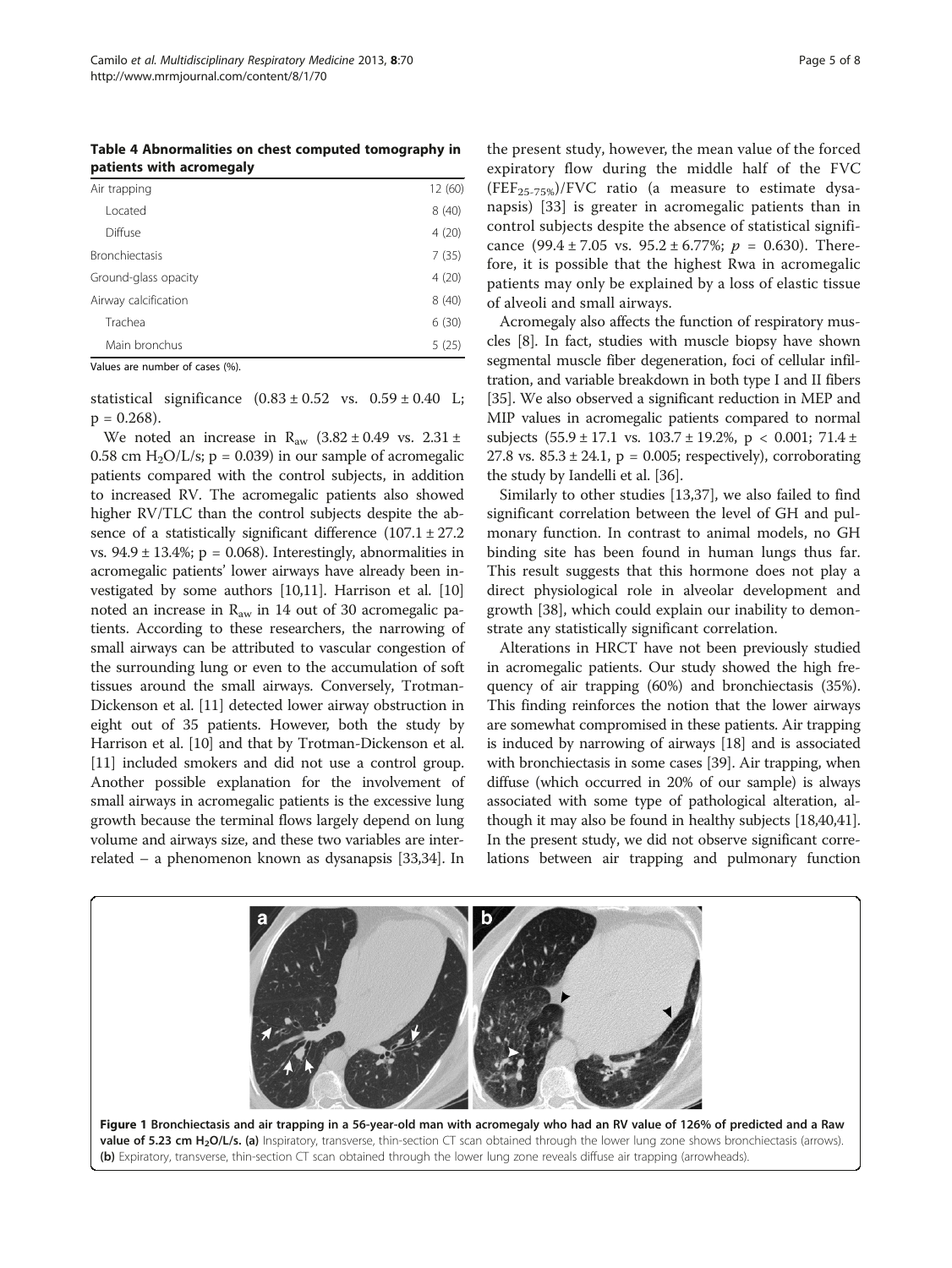<span id="page-4-0"></span>Table 4 Abnormalities on chest computed tomography in patients with acromegaly

| Air trapping          | 12 (60) |
|-----------------------|---------|
| Located               | 8(40)   |
| Diffuse               | 4(20)   |
| <b>Bronchiectasis</b> | 7(35)   |
| Ground-glass opacity  | 4(20)   |
| Airway calcification  | 8(40)   |
| Trachea               | 6(30)   |
| Main bronchus         | 5(25)   |

Values are number of cases (%).

statistical significance  $(0.83 \pm 0.52 \text{ vs. } 0.59 \pm 0.40 \text{ L};$  $p = 0.268$ ).

We noted an increase in  $R_{aw}$  (3.82 ± 0.49 vs. 2.31 ± 0.58 cm  $H_2O/L/s$ ; p = 0.039) in our sample of acromegalic patients compared with the control subjects, in addition to increased RV. The acromegalic patients also showed higher RV/TLC than the control subjects despite the absence of a statistically significant difference  $(107.1 \pm 27.2)$ vs.  $94.9 \pm 13.4\%$ ; p = 0.068). Interestingly, abnormalities in acromegalic patients' lower airways have already been investigated by some authors [\[10,11](#page-6-0)]. Harrison et al. [[10](#page-6-0)] noted an increase in  $R_{aw}$  in 14 out of 30 acromegalic patients. According to these researchers, the narrowing of small airways can be attributed to vascular congestion of the surrounding lung or even to the accumulation of soft tissues around the small airways. Conversely, Trotman-Dickenson et al. [\[11](#page-6-0)] detected lower airway obstruction in eight out of 35 patients. However, both the study by Harrison et al. [\[10\]](#page-6-0) and that by Trotman-Dickenson et al. [[11](#page-6-0)] included smokers and did not use a control group. Another possible explanation for the involvement of small airways in acromegalic patients is the excessive lung growth because the terminal flows largely depend on lung volume and airways size, and these two variables are interrelated – a phenomenon known as dysanapsis [\[33,34](#page-7-0)]. In

the present study, however, the mean value of the forced expiratory flow during the middle half of the FVC  $(FEF<sub>25-75%)/FVC</sub>$  ratio (a measure to estimate dysanapsis) [\[33](#page-7-0)] is greater in acromegalic patients than in control subjects despite the absence of statistical significance (99.4 ± 7.05 vs. 95.2 ± 6.77%;  $p = 0.630$ ). Therefore, it is possible that the highest Rwa in acromegalic patients may only be explained by a loss of elastic tissue of alveoli and small airways.

Acromegaly also affects the function of respiratory muscles [[8\]](#page-6-0). In fact, studies with muscle biopsy have shown segmental muscle fiber degeneration, foci of cellular infiltration, and variable breakdown in both type I and II fibers [[35](#page-7-0)]. We also observed a significant reduction in MEP and MIP values in acromegalic patients compared to normal subjects  $(55.9 \pm 17.1 \text{ vs. } 103.7 \pm 19.2\% \text{, } p < 0.001; 71.4 \pm 19.2\% \text{, } p < 0.001; 71.4 \pm 19.2\% \text{, } p < 0.001; 71.4 \pm 19.2\% \text{, } p < 0.001; 71.4 \pm 19.2\% \text{, } p < 0.001; 71.4 \pm 19.2\% \text{, } p < 0.001; 71.4 \pm 19.2\% \text{, } p < 0.$ 27.8 vs.  $85.3 \pm 24.1$ , p = 0.005; respectively), corroborating the study by Iandelli et al. [[36](#page-7-0)].

Similarly to other studies [\[13](#page-6-0)[,37](#page-7-0)], we also failed to find significant correlation between the level of GH and pulmonary function. In contrast to animal models, no GH binding site has been found in human lungs thus far. This result suggests that this hormone does not play a direct physiological role in alveolar development and growth [[38](#page-7-0)], which could explain our inability to demonstrate any statistically significant correlation.

Alterations in HRCT have not been previously studied in acromegalic patients. Our study showed the high frequency of air trapping (60%) and bronchiectasis (35%). This finding reinforces the notion that the lower airways are somewhat compromised in these patients. Air trapping is induced by narrowing of airways [\[18\]](#page-6-0) and is associated with bronchiectasis in some cases [\[39\]](#page-7-0). Air trapping, when diffuse (which occurred in 20% of our sample) is always associated with some type of pathological alteration, although it may also be found in healthy subjects [\[18](#page-6-0)[,40,41](#page-7-0)]. In the present study, we did not observe significant correlations between air trapping and pulmonary function

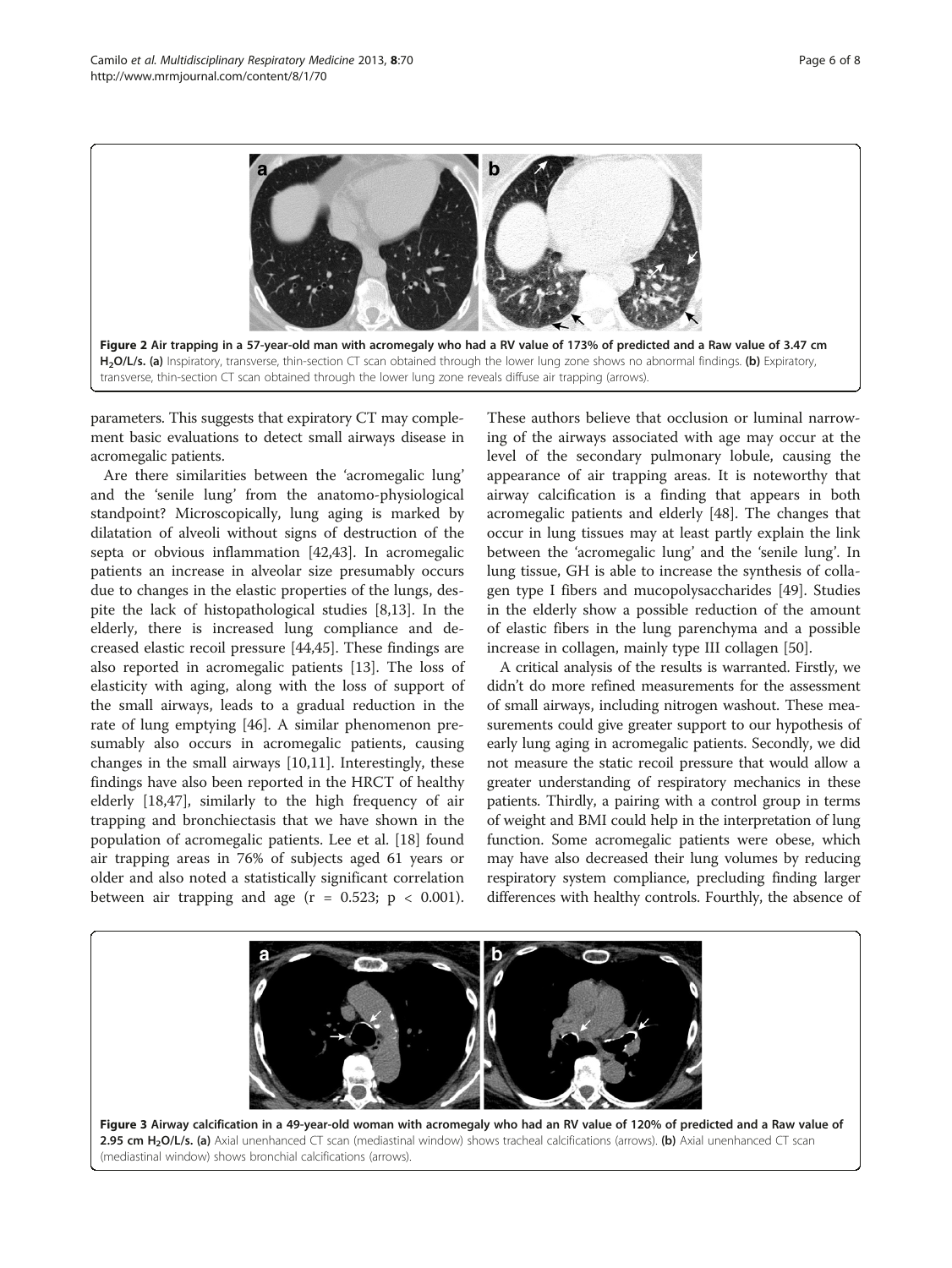<span id="page-5-0"></span>

parameters. This suggests that expiratory CT may complement basic evaluations to detect small airways disease in acromegalic patients.

Are there similarities between the 'acromegalic lung' and the 'senile lung' from the anatomo-physiological standpoint? Microscopically, lung aging is marked by dilatation of alveoli without signs of destruction of the septa or obvious inflammation [[42,43\]](#page-7-0). In acromegalic patients an increase in alveolar size presumably occurs due to changes in the elastic properties of the lungs, despite the lack of histopathological studies [[8,13](#page-6-0)]. In the elderly, there is increased lung compliance and decreased elastic recoil pressure [[44,45\]](#page-7-0). These findings are also reported in acromegalic patients [\[13](#page-6-0)]. The loss of elasticity with aging, along with the loss of support of the small airways, leads to a gradual reduction in the rate of lung emptying [[46](#page-7-0)]. A similar phenomenon presumably also occurs in acromegalic patients, causing changes in the small airways [\[10,11](#page-6-0)]. Interestingly, these findings have also been reported in the HRCT of healthy elderly [[18](#page-6-0),[47](#page-7-0)], similarly to the high frequency of air trapping and bronchiectasis that we have shown in the population of acromegalic patients. Lee et al. [\[18\]](#page-6-0) found air trapping areas in 76% of subjects aged 61 years or older and also noted a statistically significant correlation between air trapping and age  $(r = 0.523; p < 0.001)$ .

These authors believe that occlusion or luminal narrowing of the airways associated with age may occur at the level of the secondary pulmonary lobule, causing the appearance of air trapping areas. It is noteworthy that airway calcification is a finding that appears in both acromegalic patients and elderly [[48\]](#page-7-0). The changes that occur in lung tissues may at least partly explain the link between the 'acromegalic lung' and the 'senile lung'. In lung tissue, GH is able to increase the synthesis of collagen type I fibers and mucopolysaccharides [\[49\]](#page-7-0). Studies in the elderly show a possible reduction of the amount of elastic fibers in the lung parenchyma and a possible increase in collagen, mainly type III collagen [\[50](#page-7-0)].

A critical analysis of the results is warranted. Firstly, we didn't do more refined measurements for the assessment of small airways, including nitrogen washout. These measurements could give greater support to our hypothesis of early lung aging in acromegalic patients. Secondly, we did not measure the static recoil pressure that would allow a greater understanding of respiratory mechanics in these patients. Thirdly, a pairing with a control group in terms of weight and BMI could help in the interpretation of lung function. Some acromegalic patients were obese, which may have also decreased their lung volumes by reducing respiratory system compliance, precluding finding larger differences with healthy controls. Fourthly, the absence of

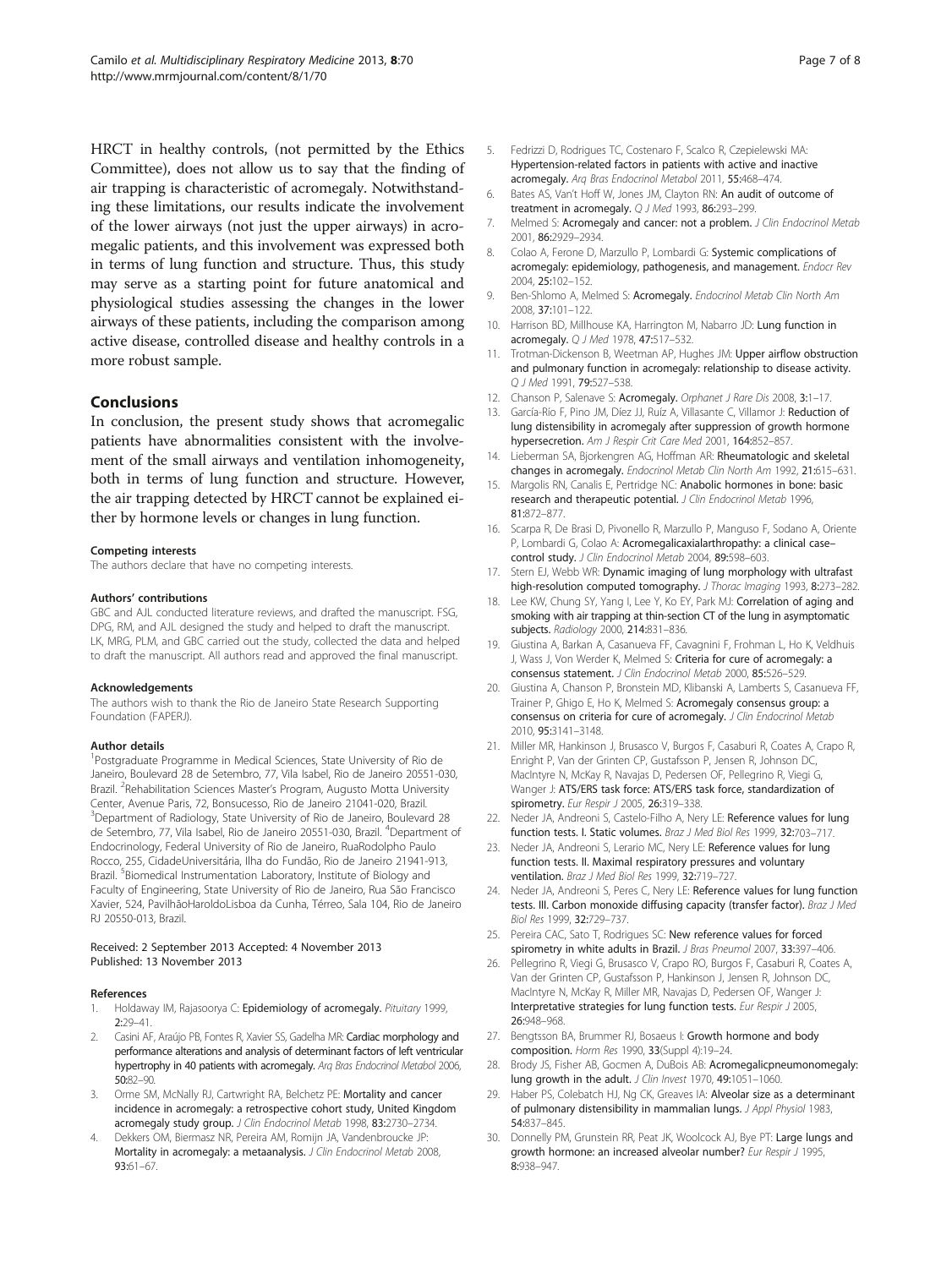<span id="page-6-0"></span>HRCT in healthy controls, (not permitted by the Ethics Committee), does not allow us to say that the finding of air trapping is characteristic of acromegaly. Notwithstanding these limitations, our results indicate the involvement of the lower airways (not just the upper airways) in acromegalic patients, and this involvement was expressed both in terms of lung function and structure. Thus, this study may serve as a starting point for future anatomical and physiological studies assessing the changes in the lower airways of these patients, including the comparison among active disease, controlled disease and healthy controls in a more robust sample.

#### Conclusions

In conclusion, the present study shows that acromegalic patients have abnormalities consistent with the involvement of the small airways and ventilation inhomogeneity, both in terms of lung function and structure. However, the air trapping detected by HRCT cannot be explained either by hormone levels or changes in lung function.

#### Competing interests

The authors declare that have no competing interests.

#### Authors' contributions

GBC and AJL conducted literature reviews, and drafted the manuscript. FSG, DPG, RM, and AJL designed the study and helped to draft the manuscript. LK, MRG, PLM, and GBC carried out the study, collected the data and helped to draft the manuscript. All authors read and approved the final manuscript.

#### Acknowledgements

The authors wish to thank the Rio de Janeiro State Research Supporting Foundation (FAPERJ).

#### Author details

<sup>1</sup>Postgraduate Programme in Medical Sciences, State University of Rio de Janeiro, Boulevard 28 de Setembro, 77, Vila Isabel, Rio de Janeiro 20551-030, Brazil. <sup>2</sup>Rehabilitation Sciences Master's Program, Augusto Motta University Center, Avenue Paris, 72, Bonsucesso, Rio de Janeiro 21041-020, Brazil. <sup>3</sup>Department of Radiology, State University of Rio de Janeiro, Boulevard 28 de Setembro, 77, Vila Isabel, Rio de Janeiro 20551-030, Brazil. <sup>4</sup>Department of Endocrinology, Federal University of Rio de Janeiro, RuaRodolpho Paulo Rocco, 255, CidadeUniversitária, Ilha do Fundão, Rio de Janeiro 21941-913, Brazil. <sup>5</sup>Biomedical Instrumentation Laboratory, Institute of Biology and Faculty of Engineering, State University of Rio de Janeiro, Rua São Francisco Xavier, 524, PavilhãoHaroldoLisboa da Cunha, Térreo, Sala 104, Rio de Janeiro RJ 20550-013, Brazil.

#### Received: 2 September 2013 Accepted: 4 November 2013 Published: 13 November 2013

#### References

- Holdaway IM, Rajasoorya C: Epidemiology of acromegaly. Pituitary 1999, 2:29–41.
- Casini AF, Araújo PB, Fontes R, Xavier SS, Gadelha MR: Cardiac morphology and performance alterations and analysis of determinant factors of left ventricular hypertrophy in 40 patients with acromegaly. Arq Bras Endocrinol Metabol 2006, 50:82–90.
- Orme SM, McNally RJ, Cartwright RA, Belchetz PE: Mortality and cancer incidence in acromegaly: a retrospective cohort study, United Kingdom acromegaly study group. J Clin Endocrinol Metab 1998, 83:2730-2734.
- 4. Dekkers OM, Biermasz NR, Pereira AM, Romijn JA, Vandenbroucke JP: Mortality in acromegaly: a metaanalysis. J Clin Endocrinol Metab 2008, 93:61–67.
- 5. Fedrizzi D, Rodrigues TC, Costenaro F, Scalco R, Czepielewski MA: Hypertension-related factors in patients with active and inactive acromegaly. Arq Bras Endocrinol Metabol 2011, 55:468–474.
- 6. Bates AS, Van't Hoff W, Jones JM, Clayton RN: An audit of outcome of treatment in acromegaly. Q J Med 1993, 86:293–299.
- 7. Melmed S: Acromegaly and cancer: not a problem. J Clin Endocrinol Metab 2001, 86:2929–2934.
- 8. Colao A, Ferone D, Marzullo P, Lombardi G: Systemic complications of acromegaly: epidemiology, pathogenesis, and management. Endocr Rev 2004, 25:102–152.
- Ben-Shlomo A, Melmed S: Acromegaly. Endocrinol Metab Clin North Am 2008, 37:101–122.
- 10. Harrison BD, Millhouse KA, Harrington M, Nabarro JD: Lung function in acromegaly. Q J Med 1978, 47:517–532.
- 11. Trotman-Dickenson B, Weetman AP, Hughes JM: Upper airflow obstruction and pulmonary function in acromegaly: relationship to disease activity. Q J Med 1991, 79:527–538.
- 12. Chanson P, Salenave S: Acromegaly. Orphanet J Rare Dis 2008, 3:1-17.
- 13. García-Río F, Pino JM, Díez JJ, Ruíz A, Villasante C, Villamor J: Reduction of lung distensibility in acromegaly after suppression of growth hormone hypersecretion. Am J Respir Crit Care Med 2001, 164:852-857.
- 14. Lieberman SA, Bjorkengren AG, Hoffman AR: Rheumatologic and skeletal changes in acromegaly. Endocrinol Metab Clin North Am 1992, 21:615–631.
- 15. Margolis RN, Canalis E, Pertridge NC: Anabolic hormones in bone: basic research and therapeutic potential. J Clin Endocrinol Metab 1996, 81:872–877.
- 16. Scarpa R, De Brasi D, Pivonello R, Marzullo P, Manguso F, Sodano A, Oriente P, Lombardi G, Colao A: Acromegalicaxialarthropathy: a clinical case– control study. J Clin Endocrinol Metab 2004, 89:598-603.
- 17. Stern EJ, Webb WR: Dynamic imaging of lung morphology with ultrafast high-resolution computed tomography. J Thorac Imaging 1993, 8:273-282.
- 18. Lee KW, Chung SY, Yang I, Lee Y, Ko EY, Park MJ: Correlation of aging and smoking with air trapping at thin-section CT of the lung in asymptomatic subjects. Radiology 2000, 214:831–836.
- 19. Giustina A, Barkan A, Casanueva FF, Cavagnini F, Frohman L, Ho K, Veldhuis J, Wass J, Von Werder K, Melmed S: Criteria for cure of acromegaly: a consensus statement. J Clin Endocrinol Metab 2000, 85:526–529.
- 20. Giustina A, Chanson P, Bronstein MD, Klibanski A, Lamberts S, Casanueva FF, Trainer P, Ghigo E, Ho K, Melmed S: Acromegaly consensus group: a consensus on criteria for cure of acromegaly. J Clin Endocrinol Metab 2010, 95:3141–3148.
- 21. Miller MR, Hankinson J, Brusasco V, Burgos F, Casaburi R, Coates A, Crapo R, Enright P, Van der Grinten CP, Gustafsson P, Jensen R, Johnson DC, MacIntyre N, McKay R, Navajas D, Pedersen OF, Pellegrino R, Viegi G, Wanger J: ATS/ERS task force: ATS/ERS task force, standardization of spirometry. Eur Respir J 2005, 26:319-338.
- 22. Neder JA, Andreoni S, Castelo-Filho A, Nery LE: Reference values for lung function tests. I. Static volumes. Braz J Med Biol Res 1999, 32:703–717.
- 23. Neder JA, Andreoni S, Lerario MC, Nery LE: Reference values for lung function tests. II. Maximal respiratory pressures and voluntary ventilation. Braz J Med Biol Res 1999, 32:719–727.
- 24. Neder JA, Andreoni S, Peres C, Nery LE: Reference values for lung function tests. III. Carbon monoxide diffusing capacity (transfer factor). Braz J Med Biol Res 1999, 32:729–737.
- 25. Pereira CAC, Sato T, Rodrigues SC: New reference values for forced spirometry in white adults in Brazil. J Bras Pneumol 2007, 33:397-406.
- 26. Pellegrino R, Viegi G, Brusasco V, Crapo RO, Burgos F, Casaburi R, Coates A, Van der Grinten CP, Gustafsson P, Hankinson J, Jensen R, Johnson DC, MacIntyre N, McKay R, Miller MR, Navajas D, Pedersen OF, Wanger J: Interpretative strategies for lung function tests. Eur Respir J 2005, 26:948–968.
- 27. Bengtsson BA, Brummer RJ, Bosaeus I: Growth hormone and body composition. Horm Res 1990, 33(Suppl 4):19–24.
- 28. Brody JS, Fisher AB, Gocmen A, DuBois AB: Acromegalicpneumonomegaly: lung growth in the adult. J Clin Invest 1970, 49:1051-1060.
- 29. Haber PS, Colebatch HJ, Ng CK, Greaves IA: Alveolar size as a determinant of pulmonary distensibility in mammalian lungs. J Appl Physiol 1983, 54:837–845.
- 30. Donnelly PM, Grunstein RR, Peat JK, Woolcock AJ, Bye PT: Large lungs and growth hormone: an increased alveolar number? Eur Respir J 1995, 8:938–947.